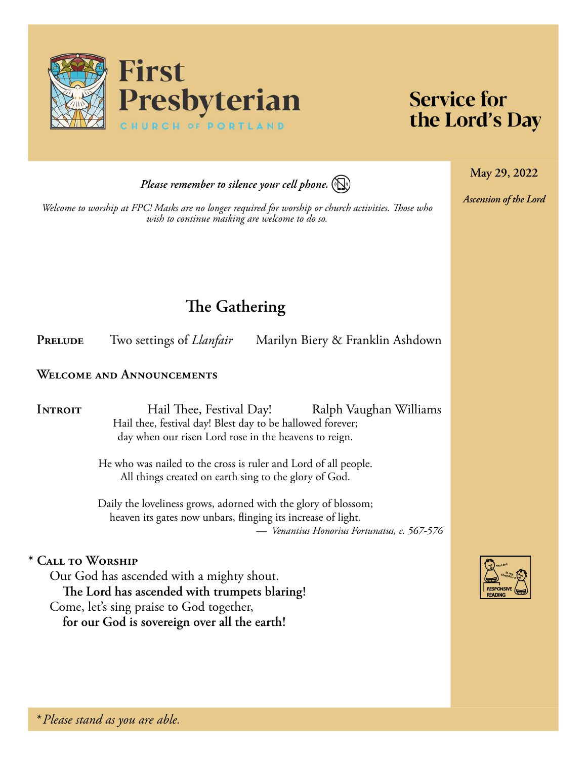

# **Service for** the Lord's Day

**May 29, 2022**

*Ascension of the Lord*

*Please remember to silence your cell phone.*



*Welcome to worship at FPC! Masks are no longer required for worship or church activities. Those who wish to continue masking are welcome to do so.*

# **The Gathering**

**PRELUDE** Two settings of *Llanfair* Marilyn Biery & Franklin Ashdown

### **Welcome and Announcements**

**INTROIT** Hail Thee, Festival Day! Ralph Vaughan Williams Hail thee, festival day! Blest day to be hallowed forever; day when our risen Lord rose in the heavens to reign.

> He who was nailed to the cross is ruler and Lord of all people. All things created on earth sing to the glory of God.

Daily the loveliness grows, adorned with the glory of blossom; heaven its gates now unbars, flinging its increase of light. *— Venantius Honorius Fortunatus, c. 567-576*

## **\* Call to Worship**

Our God has ascended with a mighty shout. **The Lord has ascended with trumpets blaring!** Come, let's sing praise to God together, **for our God is sovereign over all the earth!**

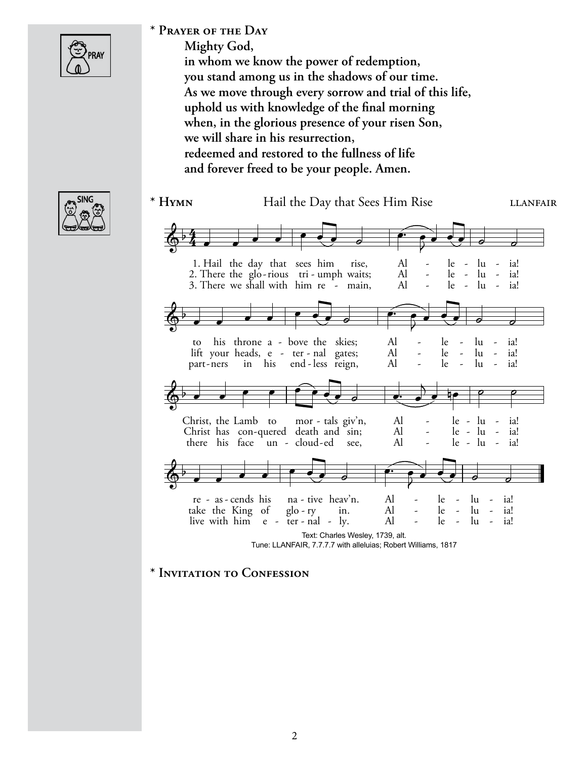

## **\* Prayer of the Day**

**Mighty God, in whom we know the power of redemption, you stand among us in the shadows of our time. As we move through every sorrow and trial of this life, uphold us with knowledge of the final morning when, in the glorious presence of your risen Son, we will share in his resurrection, redeemed and restored to the fullness of life and forever freed to be your people. Amen.**



#### \* **HYMN** Hail the Day that Sees Him Rise LLANFAIR Text: Charles Wesley, 1739, alt. Tune: LLANFAIR, 7.7.7.7 with alleluias; Robert Williams, 1817 3. There we shall with him re  $\overline{\phantom{a}}$  - main,  $\overline{\phantom{a}}$  Al  $\overline{\phantom{a}}$  - le - lu - ia! 2. There the glo-rious  $tri$ -umph waits; Al - le - lu - ia! 1. Hail the day that sees him rise,  $\qquad$  Al - le - lu - ia!  $\frac{2}{9}$   $\frac{4}{4}$  $\frac{4}{4}$  , , , , , , , ,  $\widehat{\cdot}$  $\overline{P}$  $\frac{1}{2}$   $\frac{1}{2}$   $\frac{1}{2}$ part-ners in his end-less reign, Al - le - lu - ia! lift your heads,  $e - ter - nal$  gates; Al  $-e$  le  $- lu - ia!$ to his throne a - bove the skies; Al - le - lu - ia!  $\frac{2}{9}$  $\overrightarrow{a}$  $\widehat{\cdot}$  $\overline{7}$  $\frac{1}{2}$  ,  $\frac{1}{2}$  ,  $\frac{1}{2}$ there his face  $un - cloud - ed$  see,  $Al - le - lu - ia!$ Christ has con-quered death and sin; Al  $-$  le - lu - ia! Christ, the Lamb to mor - tals  $giv^n$ n, Al - le - lu - ia!  $\theta$  $\frac{1}{2}$  ie e e live with him  $e - \text{ter - }$  nal - ly. Al - le - lu - ia! take the King of  $g$ lo-ry in. Al - le - lu - ia! re - as - cends his na - tive heav'n. Al - le - lu - ia!  $\frac{2}{9}$  $\overrightarrow{a}$  $\widehat{\cdot}$  $\overline{P}$  $\frac{1}{2}$  ,  $\frac{1}{2}$  ,  $\frac{1}{2}$

### **\* Invitation to Confession**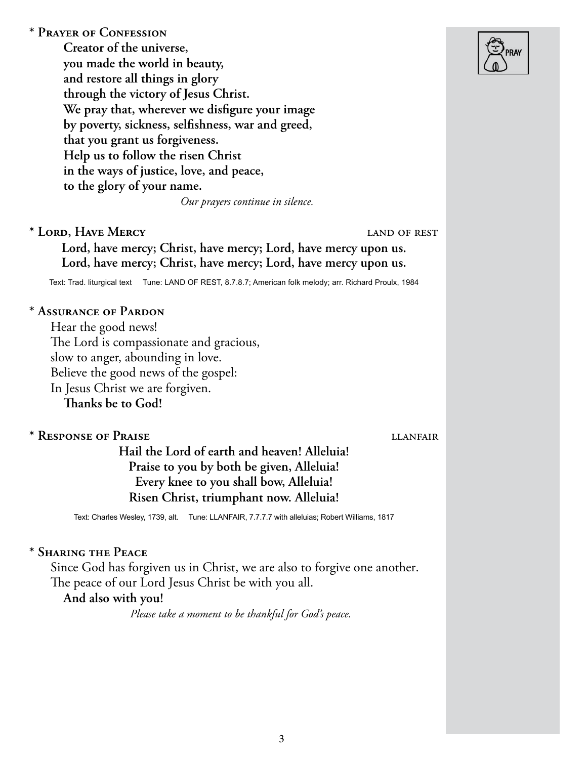**\* Prayer of Confession Creator of the universe, you made the world in beauty, and restore all things in glory through the victory of Jesus Christ. We pray that, wherever we disfigure your image by poverty, sickness, selfishness, war and greed, that you grant us forgiveness. Help us to follow the risen Christ in the ways of justice, love, and peace, to the glory of your name.**  *Our prayers continue in silence.* **\* Lord, Have Mercy** land of rest **Lord, have mercy; Christ, have mercy; Lord, have mercy upon us. Lord, have mercy; Christ, have mercy; Lord, have mercy upon us.** Text: Trad. liturgical text Tune: LAND OF REST, 8.7.8.7; American folk melody; arr. Richard Proulx, 1984 **\* Assurance of Pardon**  Hear the good news! The Lord is compassionate and gracious, slow to anger, abounding in love. Believe the good news of the gospel: In Jesus Christ we are forgiven. **Thanks be to God! \* Response of Praise** llanfair **Hail the Lord of earth and heaven! Alleluia! Praise to you by both be given, Alleluia! Every knee to you shall bow, Alleluia! Risen Christ, triumphant now. Alleluia!** Text: Charles Wesley, 1739, alt. Tune: LLANFAIR, 7.7.7.7 with alleluias; Robert Williams, 1817 **\* Sharing the Peace**  Since God has forgiven us in Christ, we are also to forgive one another. The peace of our Lord Jesus Christ be with you all. **And also with you!**

*Please take a moment to be thankful for God's peace.*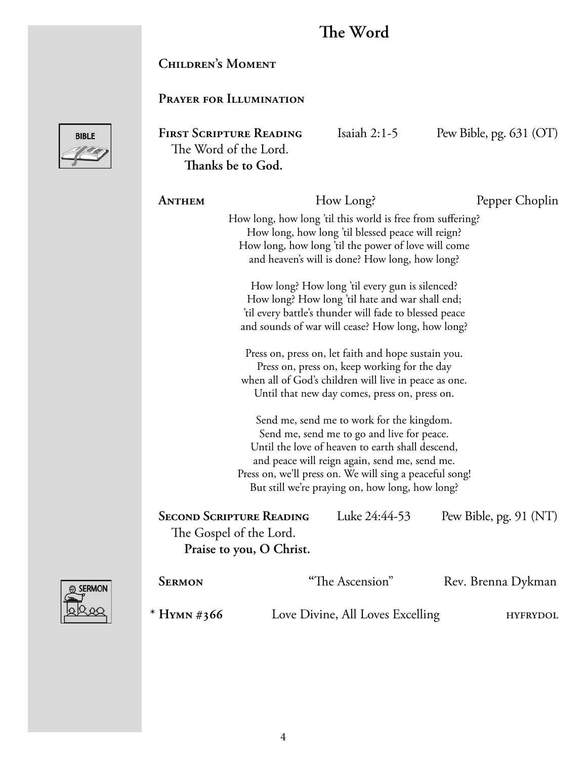# **The Word**

FIRST SCRIPTURE READING Isaiah 2:1-5 Pew Bible, pg. 631 (OT)

# **Children's Moment**

# **Prayer for Illumination**

The Word of the Lord.



| Thanks be to God.                                                                                                                                                                                                                                                                                          |                                                                                                                                                                                                                          |                 |                        |  |  |  |
|------------------------------------------------------------------------------------------------------------------------------------------------------------------------------------------------------------------------------------------------------------------------------------------------------------|--------------------------------------------------------------------------------------------------------------------------------------------------------------------------------------------------------------------------|-----------------|------------------------|--|--|--|
| ANTHEM                                                                                                                                                                                                                                                                                                     |                                                                                                                                                                                                                          | How Long?       | Pepper Choplin         |  |  |  |
|                                                                                                                                                                                                                                                                                                            | How long, how long 'til this world is free from suffering?<br>How long, how long 'til blessed peace will reign?<br>How long, how long 'til the power of love will come<br>and heaven's will is done? How long, how long? |                 |                        |  |  |  |
| How long? How long 'til every gun is silenced?<br>How long? How long 'til hate and war shall end;<br>'til every battle's thunder will fade to blessed peace<br>and sounds of war will cease? How long, how long?                                                                                           |                                                                                                                                                                                                                          |                 |                        |  |  |  |
| Press on, press on, let faith and hope sustain you.<br>Press on, press on, keep working for the day<br>when all of God's children will live in peace as one.<br>Until that new day comes, press on, press on.                                                                                              |                                                                                                                                                                                                                          |                 |                        |  |  |  |
| Send me, send me to work for the kingdom.<br>Send me, send me to go and live for peace.<br>Until the love of heaven to earth shall descend,<br>and peace will reign again, send me, send me.<br>Press on, we'll press on. We will sing a peaceful song!<br>But still we're praying on, how long, how long? |                                                                                                                                                                                                                          |                 |                        |  |  |  |
|                                                                                                                                                                                                                                                                                                            | <b>SECOND SCRIPTURE READING</b><br>The Gospel of the Lord.<br>Praise to you, O Christ.                                                                                                                                   | Luke 24:44-53   | Pew Bible, pg. 91 (NT) |  |  |  |
| <b>SERMON</b>                                                                                                                                                                                                                                                                                              |                                                                                                                                                                                                                          | "The Ascension" | Rev. Brenna Dykman     |  |  |  |



| * Hymn #366 | Love Divine, All Loves Excelling | <b>HYFRYDOL</b> |
|-------------|----------------------------------|-----------------|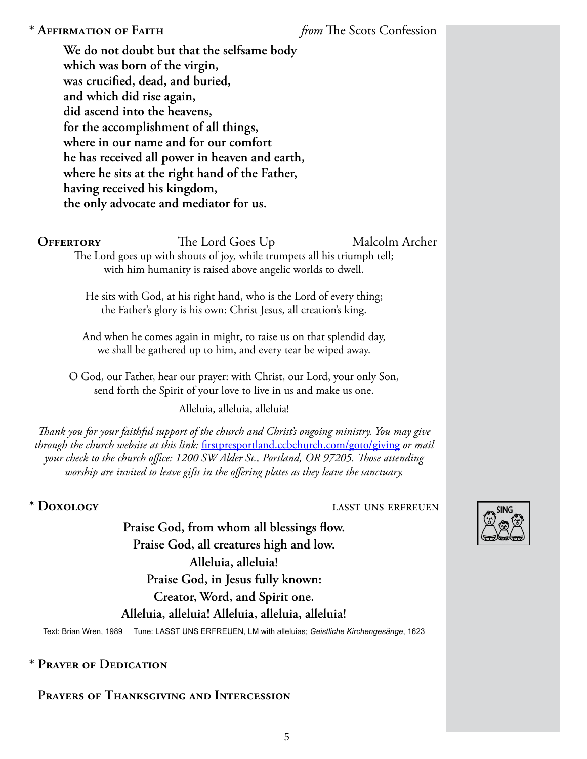# **\* Affirmation of Faith** *from* The Scots Confession

**We do not doubt but that the selfsame body which was born of the virgin, was crucified, dead, and buried, and which did rise again, did ascend into the heavens, for the accomplishment of all things, where in our name and for our comfort he has received all power in heaven and earth, where he sits at the right hand of the Father, having received his kingdom, the only advocate and mediator for us.**

**OFFERTORY** The Lord Goes Up Malcolm Archer

The Lord goes up with shouts of joy, while trumpets all his triumph tell; with him humanity is raised above angelic worlds to dwell.

He sits with God, at his right hand, who is the Lord of every thing; the Father's glory is his own: Christ Jesus, all creation's king.

And when he comes again in might, to raise us on that splendid day, we shall be gathered up to him, and every tear be wiped away.

O God, our Father, hear our prayer: with Christ, our Lord, your only Son, send forth the Spirit of your love to live in us and make us one.

Alleluia, alleluia, alleluia!

*Thank you for your faithful support of the church and Christ's ongoing ministry. You may give through the church website at this link:* [firstpresportland.ccbchurch.com/goto/giving](http://firstpresportland.ccbchurch.com/goto/giving) *or mail your check to the church office: 1200 SW Alder St., Portland, OR 97205. Those attending worship are invited to leave gifts in the offering plates as they leave the sanctuary.*

### **\* Doxology** lasst uns erfreuen

**Praise God, from whom all blessings flow. Praise God, all creatures high and low. Alleluia, alleluia! Praise God, in Jesus fully known: Creator, Word, and Spirit one. Alleluia, alleluia! Alleluia, alleluia, alleluia!**

Text: Brian Wren, 1989 Tune: LASST UNS ERFREUEN, LM with alleluias; *Geistliche Kirchengesänge*, 1623

# **\* Prayer of Dedication**

# **Prayers of Thanksgiving and Intercession**

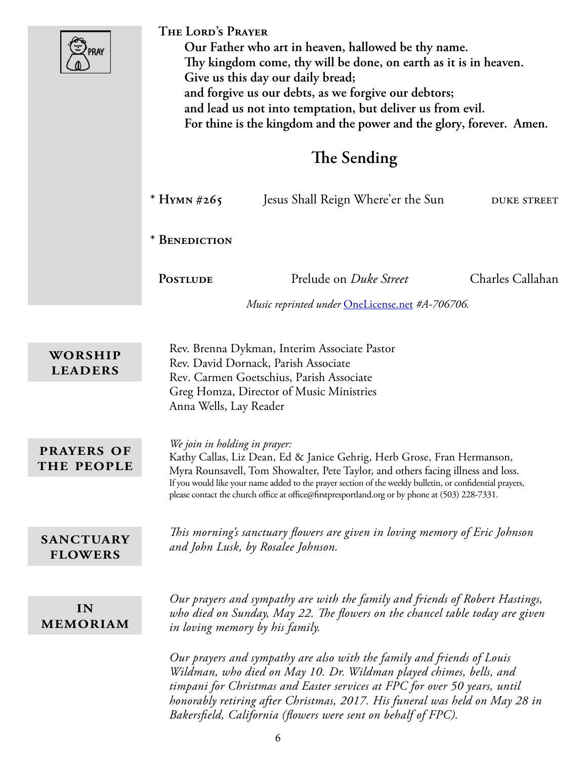|                                    | THE LORD'S PRAYER<br>Our Father who art in heaven, hallowed be thy name.<br>Thy kingdom come, thy will be done, on earth as it is in heaven.<br>Give us this day our daily bread;<br>and forgive us our debts, as we forgive our debtors;<br>and lead us not into temptation, but deliver us from evil.<br>For thine is the kingdom and the power and the glory, forever. Amen.<br>The Sending              |                                                                                                                                                                                                                                                                                                          |                    |  |
|------------------------------------|-------------------------------------------------------------------------------------------------------------------------------------------------------------------------------------------------------------------------------------------------------------------------------------------------------------------------------------------------------------------------------------------------------------|----------------------------------------------------------------------------------------------------------------------------------------------------------------------------------------------------------------------------------------------------------------------------------------------------------|--------------------|--|
|                                    |                                                                                                                                                                                                                                                                                                                                                                                                             |                                                                                                                                                                                                                                                                                                          |                    |  |
|                                    | * HYMN #265                                                                                                                                                                                                                                                                                                                                                                                                 | Jesus Shall Reign Where'er the Sun                                                                                                                                                                                                                                                                       | <b>DUKE STREET</b> |  |
|                                    | * BENEDICTION                                                                                                                                                                                                                                                                                                                                                                                               |                                                                                                                                                                                                                                                                                                          |                    |  |
|                                    | <b>POSTLUDE</b>                                                                                                                                                                                                                                                                                                                                                                                             | Prelude on <i>Duke Street</i>                                                                                                                                                                                                                                                                            | Charles Callahan   |  |
|                                    |                                                                                                                                                                                                                                                                                                                                                                                                             | Music reprinted under OneLicense.net #A-706706.                                                                                                                                                                                                                                                          |                    |  |
| WORSHIP<br><b>LEADERS</b>          | Rev. Brenna Dykman, Interim Associate Pastor<br>Rev. David Dornack, Parish Associate<br>Rev. Carmen Goetschius, Parish Associate                                                                                                                                                                                                                                                                            |                                                                                                                                                                                                                                                                                                          |                    |  |
|                                    | Anna Wells, Lay Reader                                                                                                                                                                                                                                                                                                                                                                                      | Greg Homza, Director of Music Ministries                                                                                                                                                                                                                                                                 |                    |  |
| <b>PRAYERS OF</b><br>THE PEOPLE    | We join in holding in prayer:<br>Kathy Callas, Liz Dean, Ed & Janice Gehrig, Herb Grose, Fran Hermanson,<br>Myra Rounsavell, Tom Showalter, Pete Taylor, and others facing illness and loss.<br>If you would like your name added to the prayer section of the weekly bulletin, or confidential prayers,<br>please contact the church office at office@firstpresportland.org or by phone at (503) 228-7331. |                                                                                                                                                                                                                                                                                                          |                    |  |
| <b>SANCTUARY</b><br><b>FLOWERS</b> | This morning's sanctuary flowers are given in loving memory of Eric Johnson<br>and John Lusk, by Rosalee Johnson.                                                                                                                                                                                                                                                                                           |                                                                                                                                                                                                                                                                                                          |                    |  |
| IN<br><b>MEMORIAM</b>              |                                                                                                                                                                                                                                                                                                                                                                                                             | Our prayers and sympathy are with the family and friends of Robert Hastings,<br>who died on Sunday, May 22. The flowers on the chancel table today are given<br>in loving memory by his family.                                                                                                          |                    |  |
|                                    |                                                                                                                                                                                                                                                                                                                                                                                                             | Our prayers and sympathy are also with the family and friends of Louis<br>Wildman, who died on May 10. Dr. Wildman played chimes, bells, and<br>timpani for Christmas and Easter services at FPC for over 50 years, until<br>honorably retiring after Christmas, 2017. His funeral was held on May 28 in |                    |  |

*Bakersfield, California (flowers were sent on behalf of FPC).*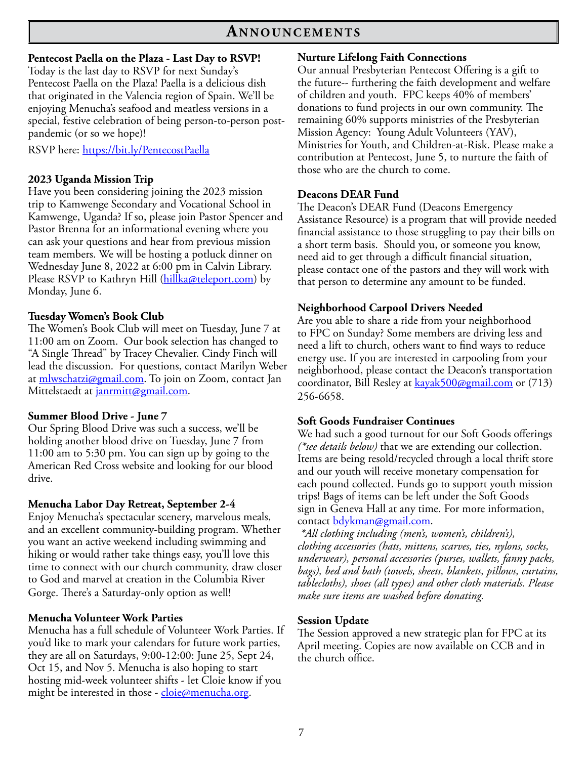# **An n o u n c e m e n t s**

#### **Pentecost Paella on the Plaza - Last Day to RSVP!**

Today is the last day to RSVP for next Sunday's Pentecost Paella on the Plaza! Paella is a delicious dish that originated in the Valencia region of Spain. We'll be enjoying Menucha's seafood and meatless versions in a special, festive celebration of being person-to-person postpandemic (or so we hope)!

RSVP here:<https://bit.ly/PentecostPaella>

#### **2023 Uganda Mission Trip**

Have you been considering joining the 2023 mission trip to Kamwenge Secondary and Vocational School in Kamwenge, Uganda? If so, please join Pastor Spencer and Pastor Brenna for an informational evening where you can ask your questions and hear from previous mission team members. We will be hosting a potluck dinner on Wednesday June 8, 2022 at 6:00 pm in Calvin Library. Please RSVP to Kathryn Hill ([hillka@teleport.com\)](mailto:hillka@teleport.com) by Monday, June 6.

#### **Tuesday Women's Book Club**

The Women's Book Club will meet on Tuesday, June 7 at 11:00 am on Zoom. Our book selection has changed to "A Single Thread" by Tracey Chevalier. Cindy Finch will lead the discussion. For questions, contact Marilyn Weber at [mlwschatzi@gmail.com](mailto:mlwschatzi@gmail.com). To join on Zoom, contact Jan Mittelstaedt at [janrmitt@gmail.com.](mailto:janrmitt@gmail.com)

#### **Summer Blood Drive - June 7**

Our Spring Blood Drive was such a success, we'll be holding another blood drive on Tuesday, June 7 from 11:00 am to 5:30 pm. You can sign up by going to the American Red Cross website and looking for our blood drive.

#### **Menucha Labor Day Retreat, September 2-4**

Enjoy Menucha's spectacular scenery, marvelous meals, and an excellent community-building program. Whether you want an active weekend including swimming and hiking or would rather take things easy, you'll love this time to connect with our church community, draw closer to God and marvel at creation in the Columbia River Gorge. There's a Saturday-only option as well!

### **Menucha Volunteer Work Parties**

Menucha has a full schedule of Volunteer Work Parties. If you'd like to mark your calendars for future work parties, they are all on Saturdays, 9:00-12:00: June 25, Sept 24, Oct 15, and Nov 5. Menucha is also hoping to start hosting mid-week volunteer shifts - let Cloie know if you might be interested in those - [cloie@menucha.org](mailto:cloie@menucha.org).

#### **Nurture Lifelong Faith Connections**

Our annual Presbyterian Pentecost Offering is a gift to the future-- furthering the faith development and welfare of children and youth. FPC keeps 40% of members' donations to fund projects in our own community. The remaining 60% supports ministries of the Presbyterian Mission Agency: Young Adult Volunteers (YAV), Ministries for Youth, and Children-at-Risk. Please make a contribution at Pentecost, June 5, to nurture the faith of those who are the church to come.

#### **Deacons DEAR Fund**

The Deacon's DEAR Fund (Deacons Emergency Assistance Resource) is a program that will provide needed financial assistance to those struggling to pay their bills on a short term basis. Should you, or someone you know, need aid to get through a difficult financial situation, please contact one of the pastors and they will work with that person to determine any amount to be funded.

#### **Neighborhood Carpool Drivers Needed**

Are you able to share a ride from your neighborhood to FPC on Sunday? Some members are driving less and need a lift to church, others want to find ways to reduce energy use. If you are interested in carpooling from your neighborhood, please contact the Deacon's transportation coordinator, Bill Resley at **[kayak500@gmail.com](mailto:kayak500@gmail.com)** or (713) 256-6658.

#### **Soft Goods Fundraiser Continues**

We had such a good turnout for our Soft Goods offerings *(\*see details below)* that we are extending our collection. Items are being resold/recycled through a local thrift store and our youth will receive monetary compensation for each pound collected. Funds go to support youth mission trips! Bags of items can be left under the Soft Goods sign in Geneva Hall at any time. For more information, contact [bdykman@gmail.com](mailto:bdykman@gmail.com).

*\*All clothing including (men's, women's, children's), clothing accessories (hats, mittens, scarves, ties, nylons, socks, underwear), personal accessories (purses, wallets, fanny packs, bags), bed and bath (towels, sheets, blankets, pillows, curtains, tablecloths), shoes (all types) and other cloth materials. Please make sure items are washed before donating.*

#### **Session Update**

The Session approved a new strategic plan for FPC at its April meeting. Copies are now available on CCB and in the church office.